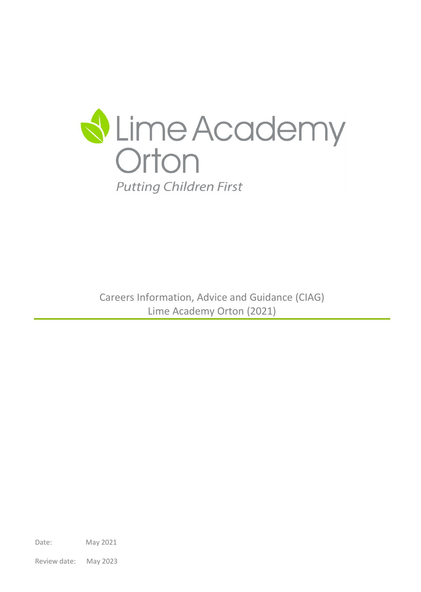

Careers Information, Advice and Guidance (CIAG) Lime Academy Orton (2021)

Date: May 2021

Review date: May 2023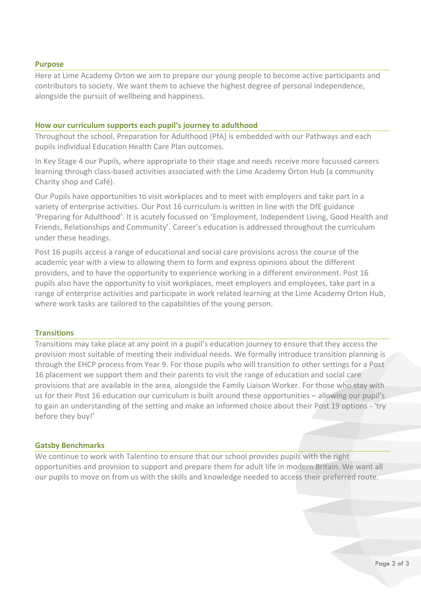#### **Purpose**

Here at Lime Academy Orton we aim to prepare our young people to become active participants and contributors to society. We want them to achieve the highest degree of personal independence, alongside the pursuit of wellbeing and happiness.

## **How our curriculum supports each pupil's journey to adulthood**

Throughout the school, Preparation for Adulthood (PfA) is embedded with our Pathways and each pupils individual Education Health Care Plan outcomes.

In Key Stage 4 our Pupils, where appropriate to their stage and needs receive more focussed careers learning through class-based activities associated with the Lime Academy Orton Hub (a community Charity shop and Café).

Our Pupils have opportunities to visit workplaces and to meet with employers and take part in a variety of enterprise activities. Our Post 16 curriculum is written in line with the DfE guidance 'Preparing for Adulthood'. It is acutely focussed on 'Employment, Independent Living, Good Health and Friends, Relationships and Community'. Career's education is addressed throughout the curriculum under these headings.

Post 16 pupils access a range of educational and social care provisions across the course of the academic year with a view to allowing them to form and express opinions about the different providers, and to have the opportunity to experience working in a different environment. Post 16 pupils also have the opportunity to visit workplaces, meet employers and employees, take part in a range of enterprise activities and participate in work related learning at the Lime Academy Orton Hub, where work tasks are tailored to the capabilities of the young person.

### **Transitions**

Transitions may take place at any point in a pupil's education journey to ensure that they access the provision most suitable of meeting their individual needs. We formally introduce transition planning is through the EHCP process from Year 9. For those pupils who will transition to other settings for a Post 16 placement we support them and their parents to visit the range of education and social care provisions that are available in the area, alongside the Family Liaison Worker. For those who stay with us for their Post 16 education our curriculum is built around these opportunities – allowing our pupil's to gain an understanding of the setting and make an informed choice about their Post 19 options - 'try before they buy!'

### **Gatsby Benchmarks**

We continue to work with Talentino to ensure that our school provides pupils with the right opportunities and provision to support and prepare them for adult life in modern Britain. We want all our pupils to move on from us with the skills and knowledge needed to access their preferred route.